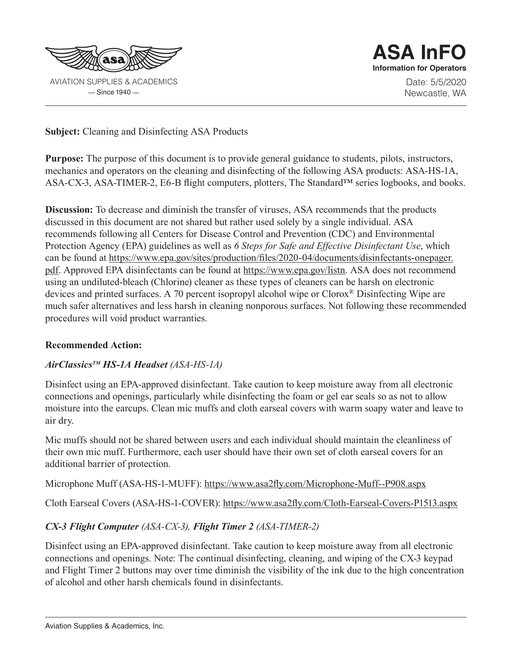

 $-$ Since 1940 $-$ 

**ASA InFO Information for Operators** Date: 5/5/2020 Newcastle, WA

**Subject:** Cleaning and Disinfecting ASA Products

**Purpose:** The purpose of this document is to provide general guidance to students, pilots, instructors, mechanics and operators on the cleaning and disinfecting of the following ASA products: ASA-HS-1A, ASA-CX-3, ASA-TIMER-2, E6-B flight computers, plotters, The Standard™ series logbooks, and books.

**Discussion:** To decrease and diminish the transfer of viruses, ASA recommends that the products discussed in this document are not shared but rather used solely by a single individual. ASA recommends following all Centers for Disease Control and Prevention (CDC) and Environmental Protection Agency (EPA) guidelines as well as *6 Steps for Safe and Effective Disinfectant Use*, which can be found at https://www.epa.gov/sites/production/files/2020-04/documents/disinfectants-onepager. pdf. Approved EPA disinfectants can be found at https://www.epa.gov/listn. ASA does not recommend using an undiluted-bleach (Chlorine) cleaner as these types of cleaners can be harsh on electronic devices and printed surfaces. A 70 percent isopropyl alcohol wipe or Clorox® Disinfecting Wipe are much safer alternatives and less harsh in cleaning nonporous surfaces. Not following these recommended procedures will void product warranties.

## **Recommended Action:**

## *AirClassicsTM HS-1A Headset (ASA-HS-1A)*

Disinfect using an EPA-approved disinfectant. Take caution to keep moisture away from all electronic connections and openings, particularly while disinfecting the foam or gel ear seals so as not to allow moisture into the earcups. Clean mic muffs and cloth earseal covers with warm soapy water and leave to air dry.

Mic muffs should not be shared between users and each individual should maintain the cleanliness of their own mic muff. Furthermore, each user should have their own set of cloth earseal covers for an additional barrier of protection.

Microphone Muff (ASA-HS-1-MUFF): https://www.asa2fly.com/Microphone-Muff--P908.aspx

Cloth Earseal Covers (ASA-HS-1-COVER): https://www.asa2fly.com/Cloth-Earseal-Covers-P1513.aspx

## *CX-3 Flight Computer (ASA-CX-3), Flight Timer 2 (ASA-TIMER-2)*

Disinfect using an EPA-approved disinfectant. Take caution to keep moisture away from all electronic connections and openings. Note: The continual disinfecting, cleaning, and wiping of the CX-3 keypad and Flight Timer 2 buttons may over time diminish the visibility of the ink due to the high concentration of alcohol and other harsh chemicals found in disinfectants.